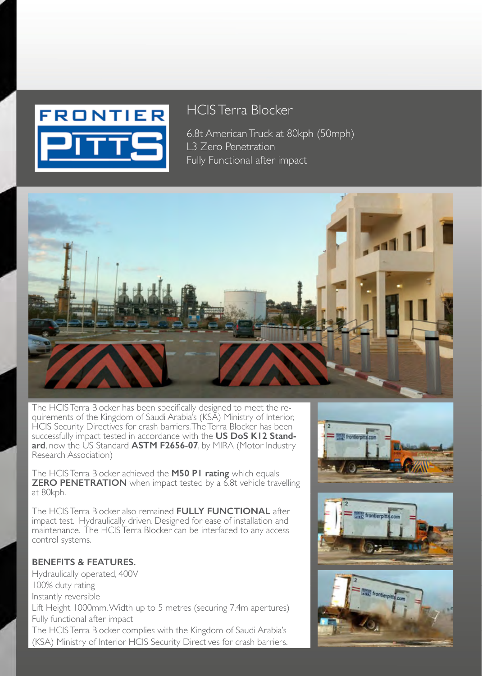## **FRONTIER**

## HCIS Terra Blocker

6.8t American Truck at 80kph (50mph) L3 Zero Penetration Fully Functional after impact



The HCIS Terra Blocker has been specifically designed to meet the requirements of the Kingdom of Saudi Arabia's (KSA) Ministry of Interior, HCIS Security Directives for crash barriers. The Terra Blocker has been successfully impact tested in accordance with the **US DoS K12 Stand**ard, now the US Standard **ASTM F2656-07**, by MIRA (Motor Industry Research Association)

The HCIS Terra Blocker achieved the **M50 P1 rating** which equals **ZERO PENETRATION** when impact tested by a 6.8t vehicle travelling at 80kph.

The HCIS Terra Blocker also remained **FULLY FUNCTIONAL** after impact test. Hydraulically driven. Designed for ease of installation and maintenance. The HCIS Terra Blocker can be interfaced to any access control systems.

### **BENEFITS & FEATURES.**

Hydraulically operated, 400V 100% duty rating Instantly reversible Lift Height 1000mm. Width up to 5 metres (securing 7.4m apertures) Fully functional after impact The HCIS Terra Blocker complies with the Kingdom of Saudi Arabia's (KSA) Ministry of Interior HCIS Security Directives for crash barriers.